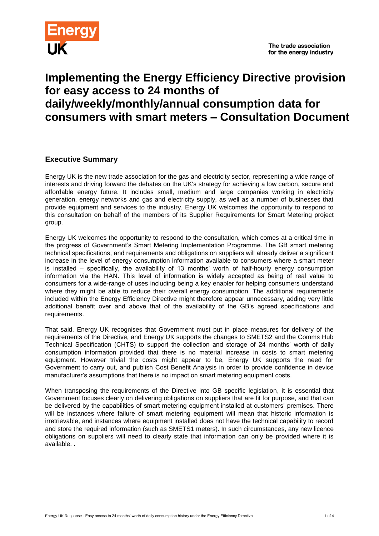

## **Implementing the Energy Efficiency Directive provision for easy access to 24 months of daily/weekly/monthly/annual consumption data for consumers with smart meters – Consultation Document**

### **Executive Summary**

Energy UK is the new trade association for the gas and electricity sector, representing a wide range of interests and driving forward the debates on the UK's strategy for achieving a low carbon, secure and affordable energy future. It includes small, medium and large companies working in electricity generation, energy networks and gas and electricity supply, as well as a number of businesses that provide equipment and services to the industry. Energy UK welcomes the opportunity to respond to this consultation on behalf of the members of its Supplier Requirements for Smart Metering project group.

Energy UK welcomes the opportunity to respond to the consultation, which comes at a critical time in the progress of Government's Smart Metering Implementation Programme. The GB smart metering technical specifications, and requirements and obligations on suppliers will already deliver a significant increase in the level of energy consumption information available to consumers where a smart meter is installed – specifically, the availability of 13 months' worth of half-hourly energy consumption information via the HAN. This level of information is widely accepted as being of real value to consumers for a wide-range of uses including being a key enabler for helping consumers understand where they might be able to reduce their overall energy consumption. The additional requirements included within the Energy Efficiency Directive might therefore appear unnecessary, adding very little additional benefit over and above that of the availability of the GB's agreed specifications and requirements.

That said, Energy UK recognises that Government must put in place measures for delivery of the requirements of the Directive, and Energy UK supports the changes to SMETS2 and the Comms Hub Technical Specification (CHTS) to support the collection and storage of 24 months' worth of daily consumption information provided that there is no material increase in costs to smart metering equipment. However trivial the costs might appear to be, Energy UK supports the need for Government to carry out, and publish Cost Benefit Analysis in order to provide confidence in device manufacturer's assumptions that there is no impact on smart metering equipment costs.

When transposing the requirements of the Directive into GB specific legislation, it is essential that Government focuses clearly on delivering obligations on suppliers that are fit for purpose, and that can be delivered by the capabilities of smart metering equipment installed at customers' premises. There will be instances where failure of smart metering equipment will mean that historic information is irretrievable, and instances where equipment installed does not have the technical capability to record and store the required information (such as SMETS1 meters). In such circumstances, any new licence obligations on suppliers will need to clearly state that information can only be provided where it is available. .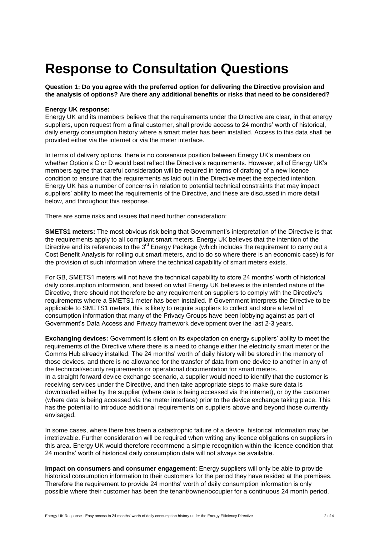# **Response to Consultation Questions**

**Question 1: Do you agree with the preferred option for delivering the Directive provision and the analysis of options? Are there any additional benefits or risks that need to be considered?** 

#### **Energy UK response:**

Energy UK and its members believe that the requirements under the Directive are clear, in that energy suppliers, upon request from a final customer, shall provide access to 24 months' worth of historical, daily energy consumption history where a smart meter has been installed. Access to this data shall be provided either via the internet or via the meter interface.

In terms of delivery options, there is no consensus position between Energy UK's members on whether Option's C or D would best reflect the Directive's requirements. However, all of Energy UK's members agree that careful consideration will be required in terms of drafting of a new licence condition to ensure that the requirements as laid out in the Directive meet the expected intention. Energy UK has a number of concerns in relation to potential technical constraints that may impact suppliers' ability to meet the requirements of the Directive, and these are discussed in more detail below, and throughout this response.

There are some risks and issues that need further consideration:

**SMETS1 meters:** The most obvious risk being that Government's interpretation of the Directive is that the requirements apply to all compliant smart meters. Energy UK believes that the intention of the Directive and its references to the  $3<sup>rd</sup>$  Energy Package (which includes the requirement to carry out a Cost Benefit Analysis for rolling out smart meters, and to do so where there is an economic case) is for the provision of such information where the technical capability of smart meters exists.

For GB, SMETS1 meters will not have the technical capability to store 24 months' worth of historical daily consumption information, and based on what Energy UK believes is the intended nature of the Directive, there should not therefore be any requirement on suppliers to comply with the Directive's requirements where a SMETS1 meter has been installed. If Government interprets the Directive to be applicable to SMETS1 meters, this is likely to require suppliers to collect and store a level of consumption information that many of the Privacy Groups have been lobbying against as part of Government's Data Access and Privacy framework development over the last 2-3 years.

**Exchanging devices:** Government is silent on its expectation on energy suppliers' ability to meet the requirements of the Directive where there is a need to change either the electricity smart meter or the Comms Hub already installed. The 24 months' worth of daily history will be stored in the memory of those devices, and there is no allowance for the transfer of data from one device to another in any of the technical/security requirements or operational documentation for smart meters. In a straight forward device exchange scenario, a supplier would need to identify that the customer is receiving services under the Directive, and then take appropriate steps to make sure data is downloaded either by the supplier (where data is being accessed via the internet), or by the customer (where data is being accessed via the meter interface) prior to the device exchange taking place. This has the potential to introduce additional requirements on suppliers above and beyond those currently envisaged.

In some cases, where there has been a catastrophic failure of a device, historical information may be irretrievable. Further consideration will be required when writing any licence obligations on suppliers in this area. Energy UK would therefore recommend a simple recognition within the licence condition that 24 months' worth of historical daily consumption data will not always be available.

**Impact on consumers and consumer engagement**: Energy suppliers will only be able to provide historical consumption information to their customers for the period they have resided at the premises. Therefore the requirement to provide 24 months' worth of daily consumption information is only possible where their customer has been the tenant/owner/occupier for a continuous 24 month period.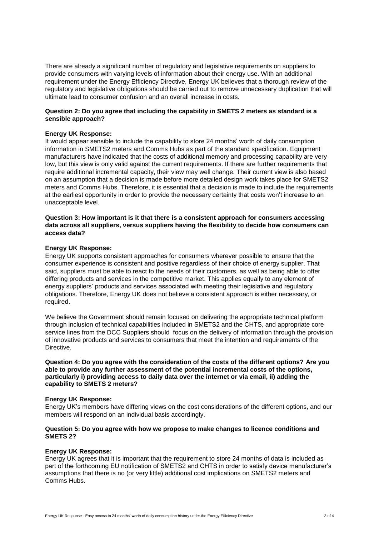There are already a significant number of regulatory and legislative requirements on suppliers to provide consumers with varying levels of information about their energy use. With an additional requirement under the Energy Efficiency Directive, Energy UK believes that a thorough review of the regulatory and legislative obligations should be carried out to remove unnecessary duplication that will ultimate lead to consumer confusion and an overall increase in costs.

#### **Question 2: Do you agree that including the capability in SMETS 2 meters as standard is a sensible approach?**

#### **Energy UK Response:**

It would appear sensible to include the capability to store 24 months' worth of daily consumption information in SMETS2 meters and Comms Hubs as part of the standard specification. Equipment manufacturers have indicated that the costs of additional memory and processing capability are very low, but this view is only valid against the current requirements. If there are further requirements that require additional incremental capacity, their view may well change. Their current view is also based on an assumption that a decision is made before more detailed design work takes place for SMETS2 meters and Comms Hubs. Therefore, it is essential that a decision is made to include the requirements at the earliest opportunity in order to provide the necessary certainty that costs won't increase to an unacceptable level.

#### **Question 3: How important is it that there is a consistent approach for consumers accessing data across all suppliers, versus suppliers having the flexibility to decide how consumers can access data?**

#### **Energy UK Response:**

Energy UK supports consistent approaches for consumers wherever possible to ensure that the consumer experience is consistent and positive regardless of their choice of energy supplier. That said, suppliers must be able to react to the needs of their customers, as well as being able to offer differing products and services in the competitive market. This applies equally to any element of energy suppliers' products and services associated with meeting their legislative and regulatory obligations. Therefore, Energy UK does not believe a consistent approach is either necessary, or required.

We believe the Government should remain focused on delivering the appropriate technical platform through inclusion of technical capabilities included in SMETS2 and the CHTS, and appropriate core service lines from the DCC Suppliers should focus on the delivery of information through the provision of innovative products and services to consumers that meet the intention and requirements of the Directive.

#### **Question 4: Do you agree with the consideration of the costs of the different options? Are you able to provide any further assessment of the potential incremental costs of the options, particularly i) providing access to daily data over the internet or via email, ii) adding the capability to SMETS 2 meters?**

#### **Energy UK Response:**

Energy UK's members have differing views on the cost considerations of the different options, and our members will respond on an individual basis accordingly.

#### **Question 5: Do you agree with how we propose to make changes to licence conditions and SMETS 2?**

#### **Energy UK Response:**

Energy UK agrees that it is important that the requirement to store 24 months of data is included as part of the forthcoming EU notification of SMETS2 and CHTS in order to satisfy device manufacturer's assumptions that there is no (or very little) additional cost implications on SMETS2 meters and Comms Hubs.